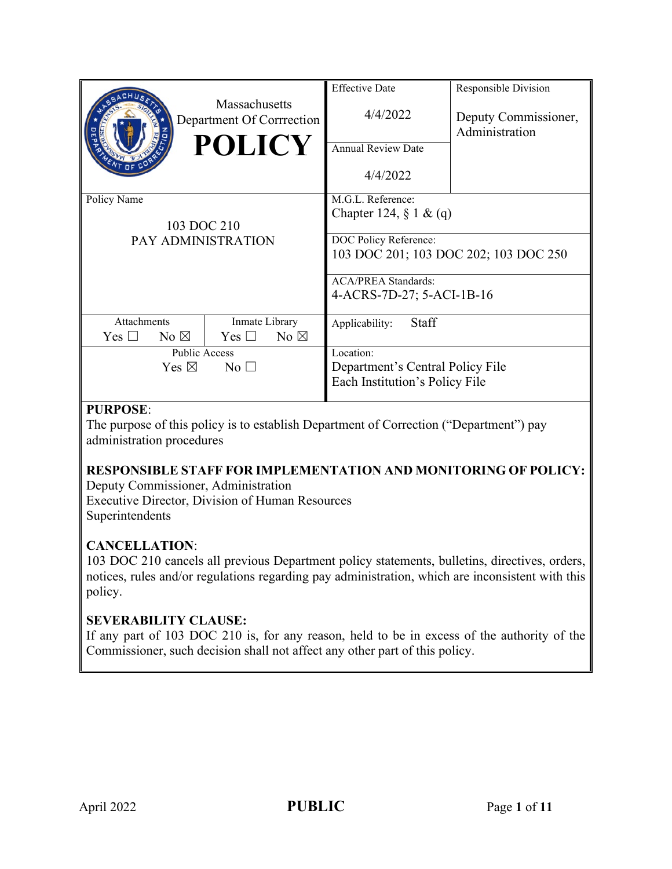|                                                                    |                | <b>Massachusetts</b><br>Department Of Corrrection<br><b>POLICY</b> | <b>Effective Date</b><br>4/4/2022<br><b>Annual Review Date</b><br>4/4/2022                                        | Responsible Division<br>Deputy Commissioner,<br>Administration |
|--------------------------------------------------------------------|----------------|--------------------------------------------------------------------|-------------------------------------------------------------------------------------------------------------------|----------------------------------------------------------------|
| Policy Name<br>103 DOC 210<br>PAY ADMINISTRATION                   |                |                                                                    | M.G.L. Reference:<br>Chapter 124, $\S 1 \& (q)$<br>DOC Policy Reference:<br>103 DOC 201; 103 DOC 202; 103 DOC 250 |                                                                |
|                                                                    |                |                                                                    | <b>ACA/PREA Standards:</b><br>4-ACRS-7D-27; 5-ACI-1B-16                                                           |                                                                |
| Attachments<br>$\rm Yes \; \Box$                                   | No $\boxtimes$ | Inmate Library<br>Yes $\Box$<br>No $\boxtimes$                     | Staff<br>Applicability:                                                                                           |                                                                |
| <b>Public Access</b><br>Yes $\boxtimes$<br>$\overline{N}$ o $\Box$ |                |                                                                    | Location:<br>Department's Central Policy File<br>Each Institution's Policy File                                   |                                                                |

# **PURPOSE**:

The purpose of this policy is to establish Department of Correction ("Department") pay administration procedures

# **RESPONSIBLE STAFF FOR IMPLEMENTATION AND MONITORING OF POLICY:**

Deputy Commissioner, Administration Executive Director, Division of Human Resources Superintendents

# **CANCELLATION**:

103 DOC 210 cancels all previous Department policy statements, bulletins, directives, orders, notices, rules and/or regulations regarding pay administration, which are inconsistent with this policy.

### **SEVERABILITY CLAUSE:**

If any part of 103 DOC 210 is, for any reason, held to be in excess of the authority of the Commissioner, such decision shall not affect any other part of this policy.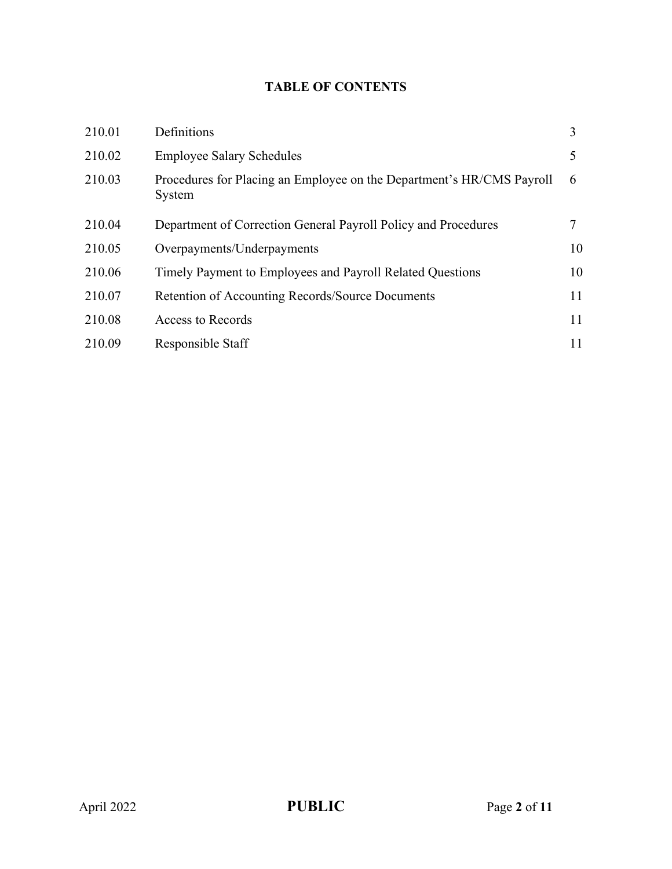# **TABLE OF CONTENTS**

| 210.01 | Definitions                                                                     | 3  |
|--------|---------------------------------------------------------------------------------|----|
| 210.02 | <b>Employee Salary Schedules</b>                                                |    |
| 210.03 | Procedures for Placing an Employee on the Department's HR/CMS Payroll<br>System | 6  |
| 210.04 | Department of Correction General Payroll Policy and Procedures                  |    |
| 210.05 | Overpayments/Underpayments                                                      | 10 |
| 210.06 | Timely Payment to Employees and Payroll Related Questions                       | 10 |
| 210.07 | Retention of Accounting Records/Source Documents                                | 11 |
| 210.08 | Access to Records                                                               | 11 |
| 210.09 | Responsible Staff                                                               | 11 |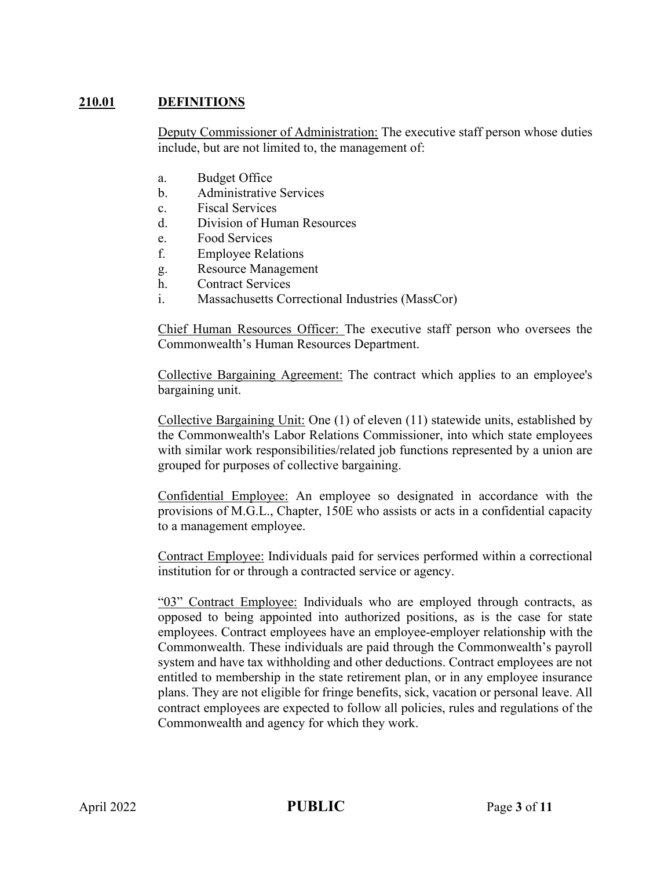## **210.01 DEFINITIONS**

Deputy Commissioner of Administration: The executive staff person whose duties include, but are not limited to, the management of:

- a. Budget Office
- b. Administrative Services
- c. Fiscal Services
- d. Division of Human Resources
- e. Food Services
- f. Employee Relations
- g. Resource Management
- h. Contract Services
- i. Massachusetts Correctional Industries (MassCor)

Chief Human Resources Officer: The executive staff person who oversees the Commonwealth's Human Resources Department.

Collective Bargaining Agreement: The contract which applies to an employee's bargaining unit.

Collective Bargaining Unit: One (1) of eleven (11) statewide units, established by the Commonwealth's Labor Relations Commissioner, into which state employees with similar work responsibilities/related job functions represented by a union are grouped for purposes of collective bargaining.

Confidential Employee: An employee so designated in accordance with the provisions of M.G.L., Chapter, 150E who assists or acts in a confidential capacity to a management employee.

Contract Employee: Individuals paid for services performed within a correctional institution for or through a contracted service or agency.

"03" Contract Employee: Individuals who are employed through contracts, as opposed to being appointed into authorized positions, as is the case for state employees. Contract employees have an employee-employer relationship with the Commonwealth. These individuals are paid through the Commonwealth's payroll system and have tax withholding and other deductions. Contract employees are not entitled to membership in the state retirement plan, or in any employee insurance plans. They are not eligible for fringe benefits, sick, vacation or personal leave. All contract employees are expected to follow all policies, rules and regulations of the Commonwealth and agency for which they work.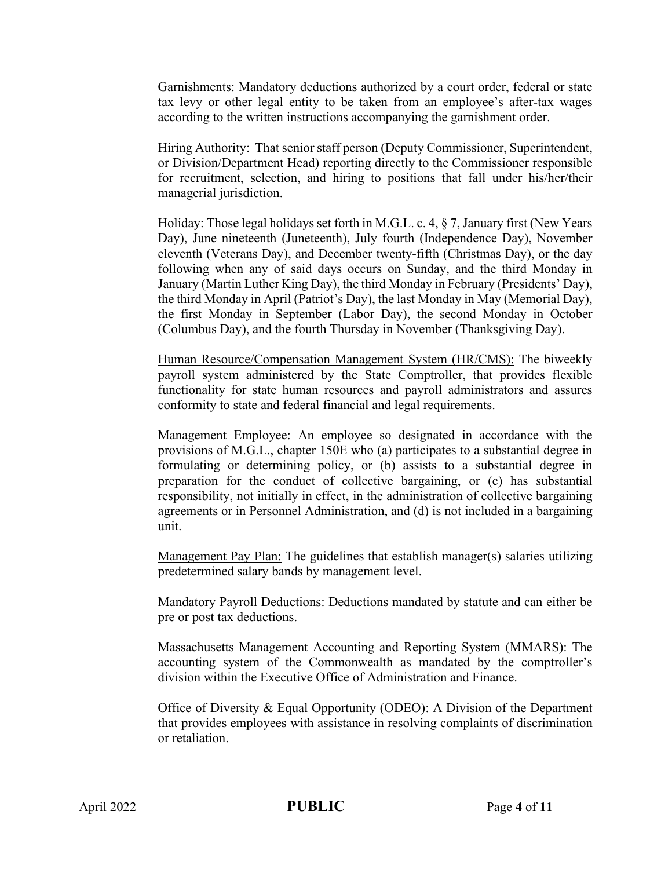Garnishments: Mandatory deductions authorized by a court order, federal or state tax levy or other legal entity to be taken from an employee's after-tax wages according to the written instructions accompanying the garnishment order.

Hiring Authority: That senior staff person (Deputy Commissioner, Superintendent, or Division/Department Head) reporting directly to the Commissioner responsible for recruitment, selection, and hiring to positions that fall under his/her/their managerial jurisdiction.

Holiday: Those legal holidays set forth in M.G.L. c. 4, § 7, January first (New Years Day), June nineteenth (Juneteenth), July fourth (Independence Day), November eleventh (Veterans Day), and December twenty-fifth (Christmas Day), or the day following when any of said days occurs on Sunday, and the third Monday in January (Martin Luther King Day), the third Monday in February (Presidents' Day), the third Monday in April (Patriot's Day), the last Monday in May (Memorial Day), the first Monday in September (Labor Day), the second Monday in October (Columbus Day), and the fourth Thursday in November (Thanksgiving Day).

Human Resource/Compensation Management System (HR/CMS): The biweekly payroll system administered by the State Comptroller, that provides flexible functionality for state human resources and payroll administrators and assures conformity to state and federal financial and legal requirements.

Management Employee: An employee so designated in accordance with the provisions of M.G.L., chapter 150E who (a) participates to a substantial degree in formulating or determining policy, or (b) assists to a substantial degree in preparation for the conduct of collective bargaining, or (c) has substantial responsibility, not initially in effect, in the administration of collective bargaining agreements or in Personnel Administration, and (d) is not included in a bargaining unit.

Management Pay Plan: The guidelines that establish manager(s) salaries utilizing predetermined salary bands by management level.

Mandatory Payroll Deductions: Deductions mandated by statute and can either be pre or post tax deductions.

Massachusetts Management Accounting and Reporting System (MMARS): The accounting system of the Commonwealth as mandated by the comptroller's division within the Executive Office of Administration and Finance.

Office of Diversity & Equal Opportunity (ODEO): A Division of the Department that provides employees with assistance in resolving complaints of discrimination or retaliation.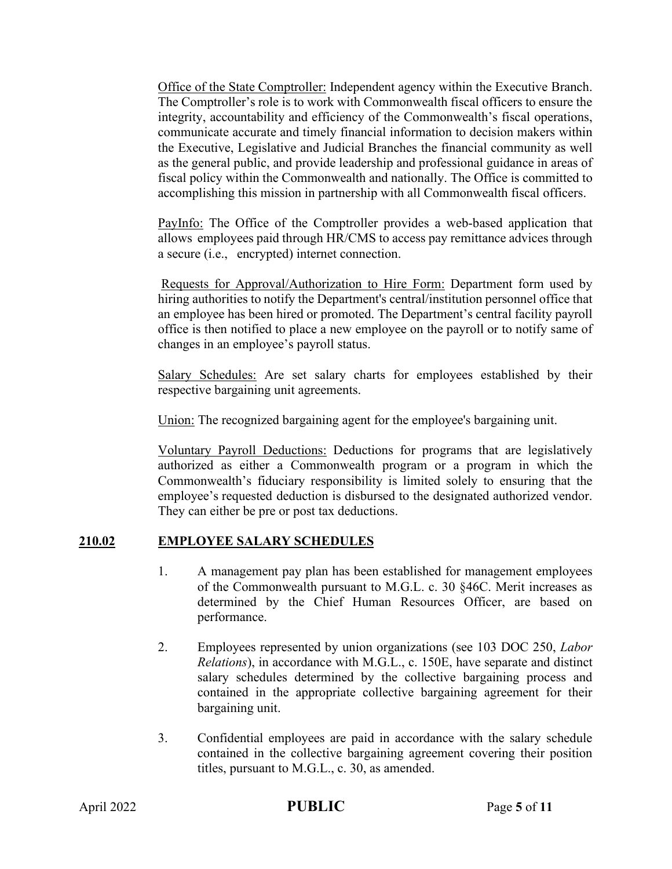Office of the State Comptroller: Independent agency within the Executive Branch. The Comptroller's role is to work with Commonwealth fiscal officers to ensure the integrity, accountability and efficiency of the Commonwealth's fiscal operations, communicate accurate and timely financial information to decision makers within the Executive, Legislative and Judicial Branches the financial community as well as the general public, and provide leadership and professional guidance in areas of fiscal policy within the Commonwealth and nationally. The Office is committed to accomplishing this mission in partnership with all Commonwealth fiscal officers.

PayInfo: The Office of the Comptroller provides a web-based application that allows employees paid through HR/CMS to access pay remittance advices through a secure (i.e., encrypted) internet connection.

Requests for Approval/Authorization to Hire Form: Department form used by hiring authorities to notify the Department's central/institution personnel office that an employee has been hired or promoted. The Department's central facility payroll office is then notified to place a new employee on the payroll or to notify same of changes in an employee's payroll status.

Salary Schedules: Are set salary charts for employees established by their respective bargaining unit agreements.

Union: The recognized bargaining agent for the employee's bargaining unit.

Voluntary Payroll Deductions: Deductions for programs that are legislatively authorized as either a Commonwealth program or a program in which the Commonwealth's fiduciary responsibility is limited solely to ensuring that the employee's requested deduction is disbursed to the designated authorized vendor. They can either be pre or post tax deductions.

# **210.02 EMPLOYEE SALARY SCHEDULES**

- 1. A management pay plan has been established for management employees of the Commonwealth pursuant to M.G.L. c. 30 §46C. Merit increases as determined by the Chief Human Resources Officer, are based on performance.
- 2. Employees represented by union organizations (see 103 DOC 250, *Labor Relations*), in accordance with M.G.L., c. 150E, have separate and distinct salary schedules determined by the collective bargaining process and contained in the appropriate collective bargaining agreement for their bargaining unit.
- 3. Confidential employees are paid in accordance with the salary schedule contained in the collective bargaining agreement covering their position titles, pursuant to M.G.L., c. 30, as amended.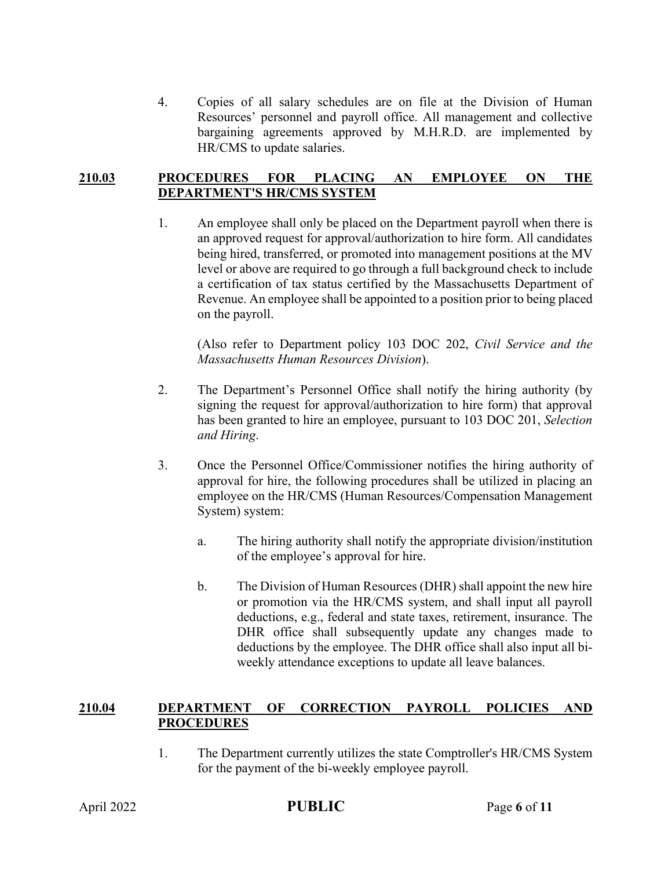4. Copies of all salary schedules are on file at the Division of Human Resources' personnel and payroll office. All management and collective bargaining agreements approved by M.H.R.D. are implemented by HR/CMS to update salaries.

#### **210.03 PROCEDURES FOR PLACING AN EMPLOYEE ON THE DEPARTMENT'S HR/CMS SYSTEM**

1. An employee shall only be placed on the Department payroll when there is an approved request for approval/authorization to hire form. All candidates being hired, transferred, or promoted into management positions at the MV level or above are required to go through a full background check to include a certification of tax status certified by the Massachusetts Department of Revenue. An employee shall be appointed to a position prior to being placed on the payroll.

(Also refer to Department policy 103 DOC 202, *Civil Service and the Massachusetts Human Resources Division*).

- 2. The Department's Personnel Office shall notify the hiring authority (by signing the request for approval/authorization to hire form) that approval has been granted to hire an employee, pursuant to 103 DOC 201, *Selection and Hiring*.
- 3. Once the Personnel Office/Commissioner notifies the hiring authority of approval for hire, the following procedures shall be utilized in placing an employee on the HR/CMS (Human Resources/Compensation Management System) system:
	- a. The hiring authority shall notify the appropriate division/institution of the employee's approval for hire.
	- b. The Division of Human Resources (DHR) shall appoint the new hire or promotion via the HR/CMS system, and shall input all payroll deductions, e.g., federal and state taxes, retirement, insurance. The DHR office shall subsequently update any changes made to deductions by the employee. The DHR office shall also input all biweekly attendance exceptions to update all leave balances.

### **210.04 DEPARTMENT OF CORRECTION PAYROLL POLICIES AND PROCEDURES**

1. The Department currently utilizes the state Comptroller's HR/CMS System for the payment of the bi-weekly employee payroll.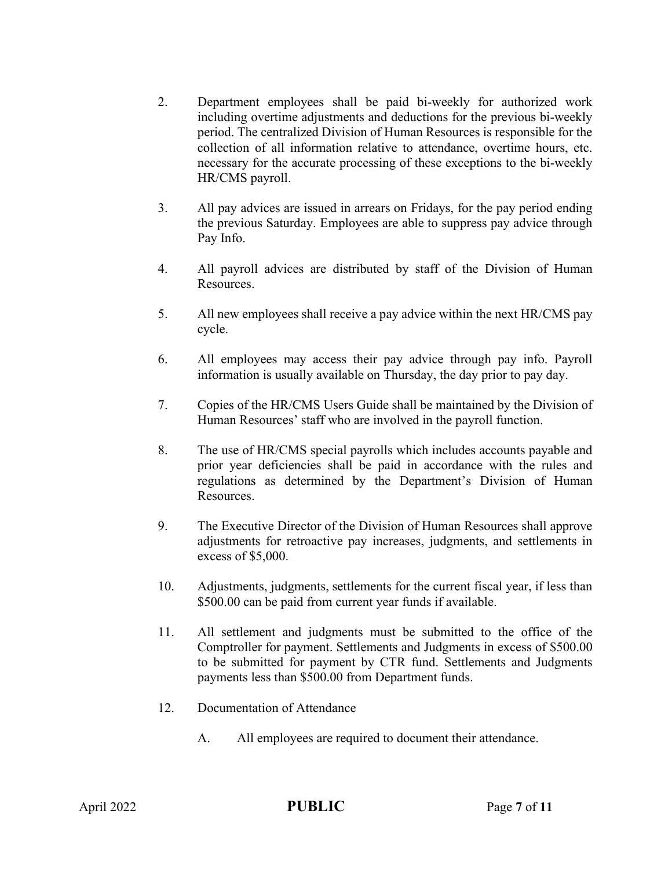- 2. Department employees shall be paid bi-weekly for authorized work including overtime adjustments and deductions for the previous bi-weekly period. The centralized Division of Human Resources is responsible for the collection of all information relative to attendance, overtime hours, etc. necessary for the accurate processing of these exceptions to the bi-weekly HR/CMS payroll.
- 3. All pay advices are issued in arrears on Fridays, for the pay period ending the previous Saturday. Employees are able to suppress pay advice through Pay Info.
- 4. All payroll advices are distributed by staff of the Division of Human Resources.
- 5. All new employees shall receive a pay advice within the next HR/CMS pay cycle.
- 6. All employees may access their pay advice through pay info. Payroll information is usually available on Thursday, the day prior to pay day.
- 7. Copies of the HR/CMS Users Guide shall be maintained by the Division of Human Resources' staff who are involved in the payroll function.
- 8. The use of HR/CMS special payrolls which includes accounts payable and prior year deficiencies shall be paid in accordance with the rules and regulations as determined by the Department's Division of Human Resources.
- 9. The Executive Director of the Division of Human Resources shall approve adjustments for retroactive pay increases, judgments, and settlements in excess of \$5,000.
- 10. Adjustments, judgments, settlements for the current fiscal year, if less than \$500.00 can be paid from current year funds if available.
- 11. All settlement and judgments must be submitted to the office of the Comptroller for payment. Settlements and Judgments in excess of \$500.00 to be submitted for payment by CTR fund. Settlements and Judgments payments less than \$500.00 from Department funds.
- 12. Documentation of Attendance
	- A. All employees are required to document their attendance.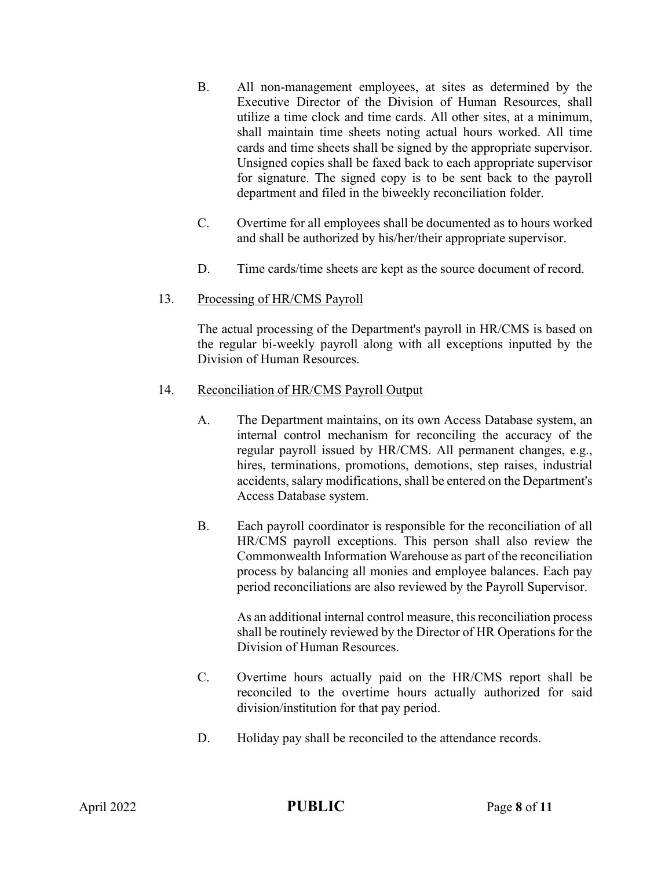- B. All non-management employees, at sites as determined by the Executive Director of the Division of Human Resources, shall utilize a time clock and time cards. All other sites, at a minimum, shall maintain time sheets noting actual hours worked. All time cards and time sheets shall be signed by the appropriate supervisor. Unsigned copies shall be faxed back to each appropriate supervisor for signature. The signed copy is to be sent back to the payroll department and filed in the biweekly reconciliation folder.
- C. Overtime for all employees shall be documented as to hours worked and shall be authorized by his/her/their appropriate supervisor.
- D. Time cards/time sheets are kept as the source document of record.

### 13. Processing of HR/CMS Payroll

The actual processing of the Department's payroll in HR/CMS is based on the regular bi-weekly payroll along with all exceptions inputted by the Division of Human Resources.

### 14. Reconciliation of HR/CMS Payroll Output

- A. The Department maintains, on its own Access Database system, an internal control mechanism for reconciling the accuracy of the regular payroll issued by HR/CMS. All permanent changes, e.g., hires, terminations, promotions, demotions, step raises, industrial accidents, salary modifications, shall be entered on the Department's Access Database system.
- B. Each payroll coordinator is responsible for the reconciliation of all HR/CMS payroll exceptions. This person shall also review the Commonwealth Information Warehouse as part of the reconciliation process by balancing all monies and employee balances. Each pay period reconciliations are also reviewed by the Payroll Supervisor.

As an additional internal control measure, this reconciliation process shall be routinely reviewed by the Director of HR Operations for the Division of Human Resources.

- C. Overtime hours actually paid on the HR/CMS report shall be reconciled to the overtime hours actually authorized for said division/institution for that pay period.
- D. Holiday pay shall be reconciled to the attendance records.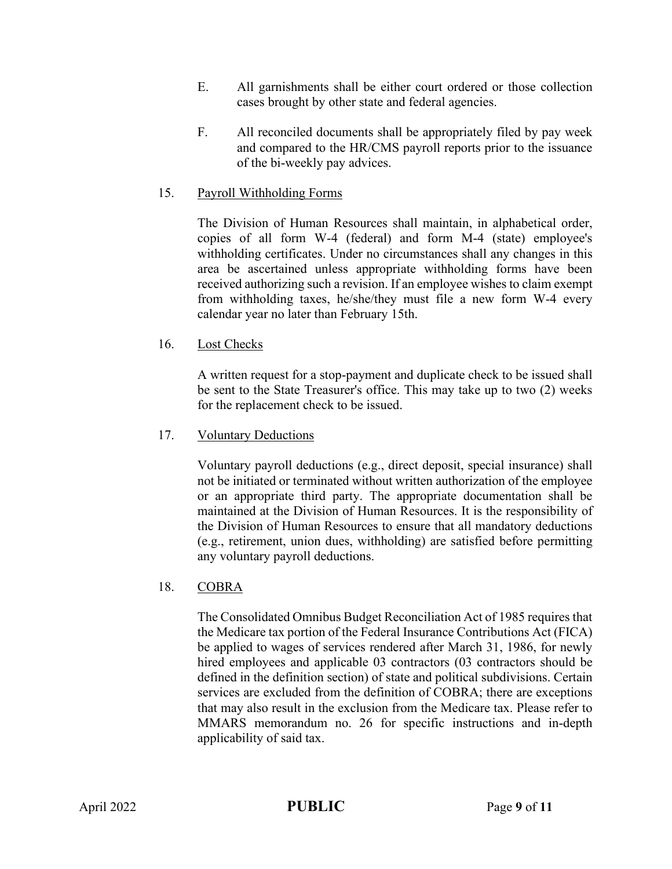- E. All garnishments shall be either court ordered or those collection cases brought by other state and federal agencies.
- F. All reconciled documents shall be appropriately filed by pay week and compared to the HR/CMS payroll reports prior to the issuance of the bi-weekly pay advices.

#### 15. Payroll Withholding Forms

The Division of Human Resources shall maintain, in alphabetical order, copies of all form W-4 (federal) and form M-4 (state) employee's withholding certificates. Under no circumstances shall any changes in this area be ascertained unless appropriate withholding forms have been received authorizing such a revision. If an employee wishes to claim exempt from withholding taxes, he/she/they must file a new form W-4 every calendar year no later than February 15th.

#### 16. Lost Checks

A written request for a stop-payment and duplicate check to be issued shall be sent to the State Treasurer's office. This may take up to two (2) weeks for the replacement check to be issued.

#### 17. Voluntary Deductions

Voluntary payroll deductions (e.g., direct deposit, special insurance) shall not be initiated or terminated without written authorization of the employee or an appropriate third party. The appropriate documentation shall be maintained at the Division of Human Resources. It is the responsibility of the Division of Human Resources to ensure that all mandatory deductions (e.g., retirement, union dues, withholding) are satisfied before permitting any voluntary payroll deductions.

#### 18. COBRA

The Consolidated Omnibus Budget Reconciliation Act of 1985 requires that the Medicare tax portion of the Federal Insurance Contributions Act (FICA) be applied to wages of services rendered after March 31, 1986, for newly hired employees and applicable 03 contractors (03 contractors should be defined in the definition section) of state and political subdivisions. Certain services are excluded from the definition of COBRA; there are exceptions that may also result in the exclusion from the Medicare tax. Please refer to MMARS memorandum no. 26 for specific instructions and in-depth applicability of said tax.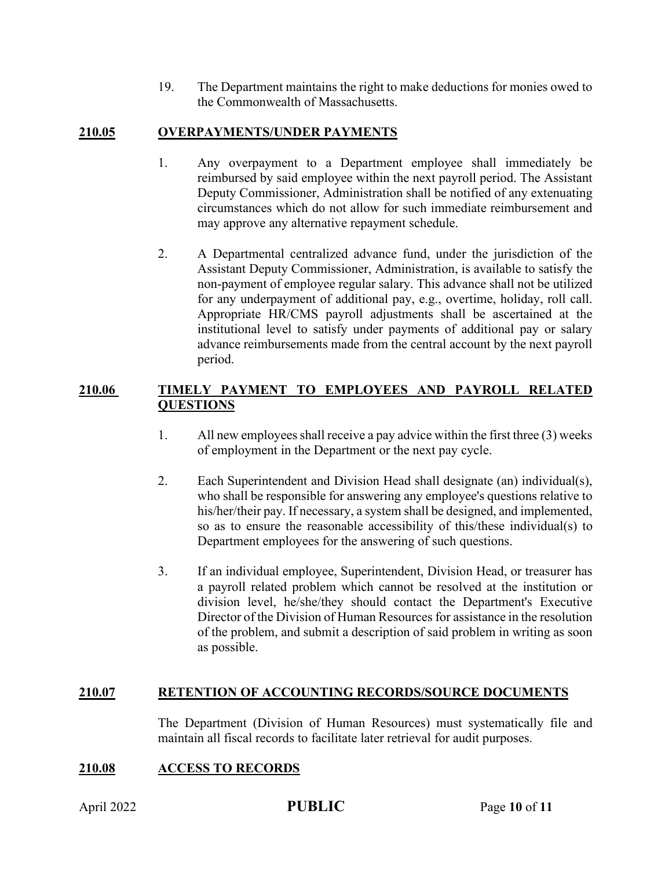19. The Department maintains the right to make deductions for monies owed to the Commonwealth of Massachusetts.

## **210.05 OVERPAYMENTS/UNDER PAYMENTS**

- 1. Any overpayment to a Department employee shall immediately be reimbursed by said employee within the next payroll period. The Assistant Deputy Commissioner, Administration shall be notified of any extenuating circumstances which do not allow for such immediate reimbursement and may approve any alternative repayment schedule.
- 2. A Departmental centralized advance fund, under the jurisdiction of the Assistant Deputy Commissioner, Administration, is available to satisfy the non-payment of employee regular salary. This advance shall not be utilized for any underpayment of additional pay, e.g., overtime, holiday, roll call. Appropriate HR/CMS payroll adjustments shall be ascertained at the institutional level to satisfy under payments of additional pay or salary advance reimbursements made from the central account by the next payroll period.

### **210.06 TIMELY PAYMENT TO EMPLOYEES AND PAYROLL RELATED QUESTIONS**

- 1. All new employees shall receive a pay advice within the first three (3) weeks of employment in the Department or the next pay cycle.
- 2. Each Superintendent and Division Head shall designate (an) individual(s), who shall be responsible for answering any employee's questions relative to his/her/their pay. If necessary, a system shall be designed, and implemented, so as to ensure the reasonable accessibility of this/these individual(s) to Department employees for the answering of such questions.
- 3. If an individual employee, Superintendent, Division Head, or treasurer has a payroll related problem which cannot be resolved at the institution or division level, he/she/they should contact the Department's Executive Director of the Division of Human Resources for assistance in the resolution of the problem, and submit a description of said problem in writing as soon as possible.

### **210.07 RETENTION OF ACCOUNTING RECORDS/SOURCE DOCUMENTS**

The Department (Division of Human Resources) must systematically file and maintain all fiscal records to facilitate later retrieval for audit purposes.

# **210.08 ACCESS TO RECORDS**